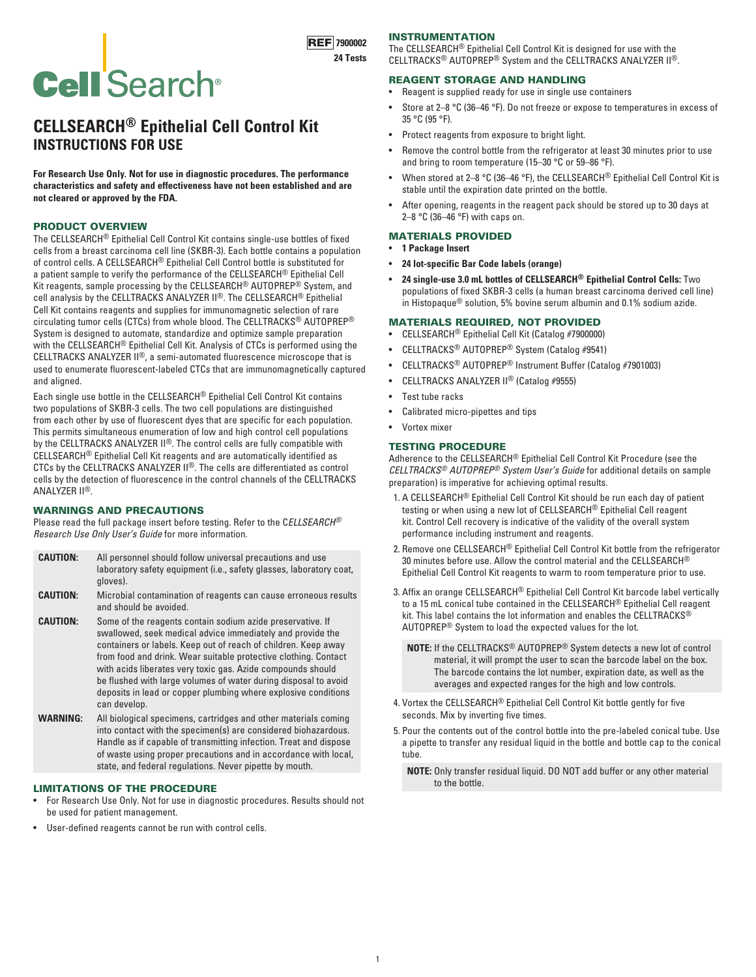# **Cell** Search<sup>®</sup>

# **CELLSEARCH® Epithelial Cell Control Kit INSTRUCTIONS FOR USE**

**For Research Use Only. Not for use in diagnostic procedures. The performance characteristics and safety and effectiveness have not been established and are not cleared or approved by the FDA.**

# PRODUCT OVERVIEW

The CELLSEARCH® Epithelial Cell Control Kit contains single-use bottles of fixed cells from a breast carcinoma cell line (SKBR-3). Each bottle contains a population of control cells. A CELLSEARCH® Epithelial Cell Control bottle is substituted for a patient sample to verify the performance of the CELLSEARCH® Epithelial Cell Kit reagents, sample processing by the CELLSEARCH® AUTOPREP® System, and cell analysis by the CELLTRACKS ANALYZER II®. The CELLSEARCH® Epithelial Cell Kit contains reagents and supplies for immunomagnetic selection of rare circulating tumor cells (CTCs) from whole blood. The CELLTRACKS® AUTOPREP® System is designed to automate, standardize and optimize sample preparation with the CELLSEARCH® Epithelial Cell Kit. Analysis of CTCs is performed using the CELLTRACKS ANALYZER II®, a semi-automated fluorescence microscope that is used to enumerate fluorescent-labeled CTCs that are immunomagnetically captured and aligned.

Each single use bottle in the CELLSEARCH® Epithelial Cell Control Kit contains two populations of SKBR-3 cells. The two cell populations are distinguished from each other by use of fluorescent dyes that are specific for each population. This permits simultaneous enumeration of low and high control cell populations by the CELLTRACKS ANALYZER II®. The control cells are fully compatible with CELLSEARCH® Epithelial Cell Kit reagents and are automatically identified as CTCs by the CELLTRACKS ANALYZER II®. The cells are differentiated as control cells by the detection of fluorescence in the control channels of the CELLTRACKS ANALYZER II®.

### WARNINGS AND PRECAUTIONS

Please read the full package insert before testing. Refer to the C*ELLSEARCH® Research Use Only User's Guide* for more information.

- **CAUTION:** All personnel should follow universal precautions and use laboratory safety equipment (i.e., safety glasses, laboratory coat, gloves).
- **CAUTION:** Microbial contamination of reagents can cause erroneous results and should be avoided.
- **CAUTION:** Some of the reagents contain sodium azide preservative. If swallowed, seek medical advice immediately and provide the containers or labels. Keep out of reach of children. Keep away from food and drink. Wear suitable protective clothing. Contact with acids liberates very toxic gas. Azide compounds should be flushed with large volumes of water during disposal to avoid deposits in lead or copper plumbing where explosive conditions can develop.
- **WARNING:** All biological specimens, cartridges and other materials coming into contact with the specimen(s) are considered biohazardous. Handle as if capable of transmitting infection. Treat and dispose of waste using proper precautions and in accordance with local, state, and federal regulations. Never pipette by mouth.

# LIMITATIONS OF THE PROCEDURE

- For Research Use Only. Not for use in diagnostic procedures. Results should not be used for patient management.
- User-defined reagents cannot be run with control cells.

## INSTRUMENTATION

The CELLSEARCH® Epithelial Cell Control Kit is designed for use with the CELLTRACKS® AUTOPREP® System and the CELLTRACKS ANALYZER II®.

# REAGENT STORAGE AND HANDLING

- Reagent is supplied ready for use in single use containers
- Store at 2–8 °C (36–46 °F). Do not freeze or expose to temperatures in excess of 35 °C (95 °F).
- Protect reagents from exposure to bright light.
- Remove the control bottle from the refrigerator at least 30 minutes prior to use and bring to room temperature (15-30 °C or 59-86 °F).
- When stored at 2–8 °C (36–46 °F), the CELLSEARCH® Epithelial Cell Control Kit is stable until the expiration date printed on the bottle.
- After opening, reagents in the reagent pack should be stored up to 30 days at 2–8 °C (36–46 °F) with caps on.

# MATERIALS PROVIDED

- **1 Package Insert**
- **24 lot-specific Bar Code labels (orange)**
- **24 single-use 3.0 mL bottles of CELLSEARCH® Epithelial Control Cells:** Two populations of fixed SKBR-3 cells (a human breast carcinoma derived cell line) in Histopaque® solution, 5% bovine serum albumin and 0.1% sodium azide.

# MATERIALS REQUIRED, NOT PROVIDED

- CELLSEARCH® Epithelial Cell Kit (Catalog #7900000)
- CELLTRACKS® AUTOPREP® System (Catalog #9541)
- CELLTRACKS® AUTOPREP® Instrument Buffer (Catalog #7901003)
- CELLTRACKS ANALYZER II® (Catalog #9555)
- Test tube racks
- Calibrated micro-pipettes and tips
- Vortex mixer

### TESTING PROCEDURE

Adherence to the CELLSEARCH® Epithelial Cell Control Kit Procedure (see the *CELLTRACKS® AUTOPREP® System User's Guide* for additional details on sample preparation) is imperative for achieving optimal results.

- 1. A CELLSEARCH® Epithelial Cell Control Kit should be run each day of patient testing or when using a new lot of CELLSEARCH® Epithelial Cell reagent kit. Control Cell recovery is indicative of the validity of the overall system performance including instrument and reagents.
- 2. Remove one CELLSEARCH® Epithelial Cell Control Kit bottle from the refrigerator 30 minutes before use. Allow the control material and the CELLSEARCH® Epithelial Cell Control Kit reagents to warm to room temperature prior to use.
- 3. Affix an orange CELLSEARCH® Epithelial Cell Control Kit barcode label vertically to a 15 mL conical tube contained in the CELLSEARCH® Epithelial Cell reagent kit. This label contains the lot information and enables the CELLTRACKS $^\circledR$ AUTOPREP® System to load the expected values for the lot.
	- **NOTE:** If the CELLTRACKS® AUTOPREP® System detects a new lot of control material, it will prompt the user to scan the barcode label on the box. The barcode contains the lot number, expiration date, as well as the averages and expected ranges for the high and low controls.
- 4. Vortex the CELLSEARCH® Epithelial Cell Control Kit bottle gently for five seconds. Mix by inverting five times.
- 5. Pour the contents out of the control bottle into the pre-labeled conical tube. Use a pipette to transfer any residual liquid in the bottle and bottle cap to the conical tube.
	- **NOTE:** Only transfer residual liquid. DO NOT add buffer or any other material to the bottle.